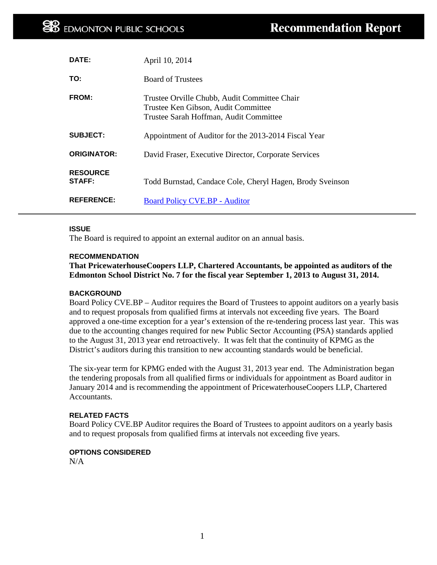| <b>DATE:</b>              | April 10, 2014                                                                                                                |
|---------------------------|-------------------------------------------------------------------------------------------------------------------------------|
| TO:                       | <b>Board of Trustees</b>                                                                                                      |
| <b>FROM:</b>              | Trustee Orville Chubb, Audit Committee Chair<br>Trustee Ken Gibson, Audit Committee<br>Trustee Sarah Hoffman, Audit Committee |
| <b>SUBJECT:</b>           | Appointment of Auditor for the 2013-2014 Fiscal Year                                                                          |
| <b>ORIGINATOR:</b>        | David Fraser, Executive Director, Corporate Services                                                                          |
| <b>RESOURCE</b><br>STAFF: | Todd Burnstad, Candace Cole, Cheryl Hagen, Brody Sveinson                                                                     |
| <b>REFERENCE:</b>         | <b>Board Policy CVE.BP - Auditor</b>                                                                                          |

#### **ISSUE**

The Board is required to appoint an external auditor on an annual basis.

### **RECOMMENDATION**

**That PricewaterhouseCoopers LLP, Chartered Accountants, be appointed as auditors of the Edmonton School District No. 7 for the fiscal year September 1, 2013 to August 31, 2014.**

### **BACKGROUND**

Board Policy CVE.BP – Auditor requires the Board of Trustees to appoint auditors on a yearly basis and to request proposals from qualified firms at intervals not exceeding five years. The Board approved a one-time exception for a year's extension of the re-tendering process last year. This was due to the accounting changes required for new Public Sector Accounting (PSA) standards applied to the August 31, 2013 year end retroactively. It was felt that the continuity of KPMG as the District's auditors during this transition to new accounting standards would be beneficial.

The six-year term for KPMG ended with the August 31, 2013 year end. The Administration began the tendering proposals from all qualified firms or individuals for appointment as Board auditor in January 2014 and is recommending the appointment of PricewaterhouseCoopers LLP, Chartered Accountants.

#### **RELATED FACTS**

Board Policy CVE.BP Auditor requires the Board of Trustees to appoint auditors on a yearly basis and to request proposals from qualified firms at intervals not exceeding five years.

# **OPTIONS CONSIDERED**

 $N/A$